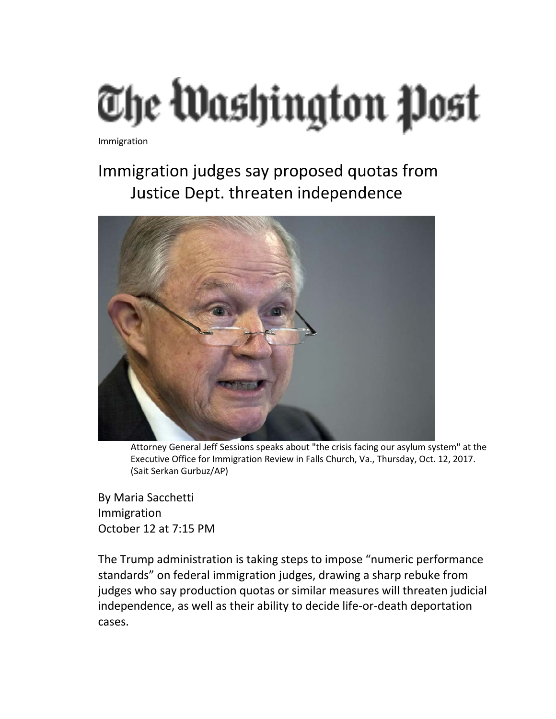

## Immigration judges say proposed quotas from Justice Dept. threaten independence



Attorney General Jeff Sessions speaks about "the crisis facing our asylum system" at the Executive Office for Immigration Review in Falls Church, Va., Thursday, Oct. 12, 2017. (Sait Serkan Gurbuz/AP)

By [Maria Sacchetti](https://www.washingtonpost.com/people/maria-sacchetti) [Immigration](https://www.washingtonpost.com/local/immigration) October 12 at 7:15 PM

The Trump administration is taking steps to impose "numeric performance standards" on federal immigration judges, drawing a sharp rebuke from judges who say production quotas or similar measures will threaten judicial independence, as well as their ability to decide life-or-death deportation cases.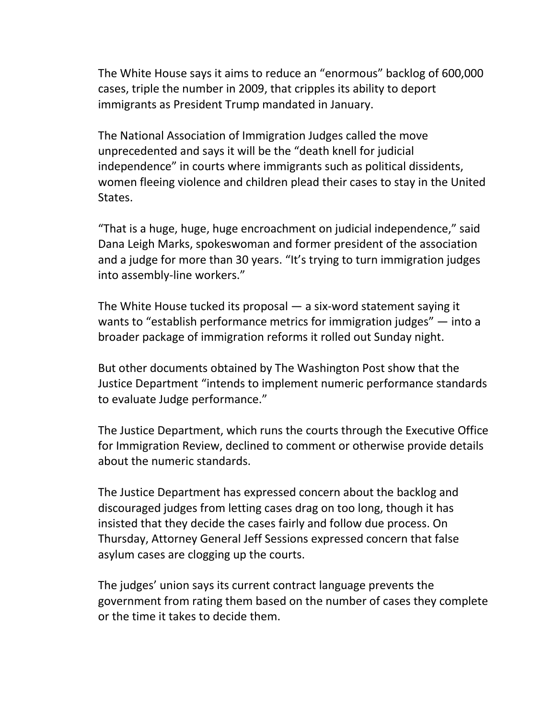The White House says it aims to reduce an "enormous" backlog of 600,000 cases, triple the number in 2009, that cripples its ability to deport immigrants as President Trump mandated in January.

The National Association of Immigration Judges called the move unprecedented and says it will be the "death knell for judicial independence" in courts where immigrants such as political dissidents, women fleeing violence and children plead their cases to stay in the United States.

"That is a huge, huge, huge encroachment on judicial independence," said Dana Leigh Marks, spokeswoman and former president of the association and a judge for more than 30 years. "It's trying to turn immigration judges into assembly-line workers."

The White [House tucked its proposal —](https://www.washingtonpost.com/news/post-politics/wp/2017/10/08/trump-administration-releases-hard-line-immigration-principles-threatening-deal-on-dreamers/?utm_term=.993911b89501) a six-word statement saying it wants to "establish performance metrics for immigration judges" — into a broader package of immigration reforms it rolled out Sunday night.

But other documents obtained by The Washington Post show that the Justice Department "intends to implement numeric performance standards to evaluate Judge performance."

The Justice Department, which runs the courts through the Executive Office for Immigration Review, declined to comment or otherwise provide details about the numeric standards.

The Justice Department has expressed concern about the backlog and discouraged judges from letting cases drag on too long, though it has insisted that they decide the cases fairly and follow due process. On Thursday, Attorney General Jeff Sessions expressed concern that false asylum cases are clogging up the courts.

The judges' union says its current contract language prevents the government from rating them based on the number of cases they complete or the time it takes to decide them.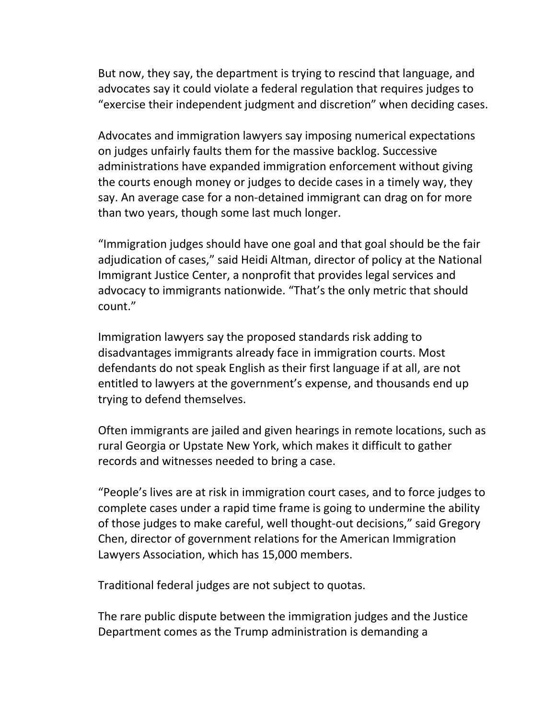But now, they say, the department is trying to rescind that language, and advocates say it could violate a federal regulation that requires judges to "exercise their independent judgment and discretion" when deciding cases.

Advocates and immigration lawyers say imposing numerical expectations on judges unfairly faults them for the massive backlog. Successive administrations have expanded immigration enforcement without giving the courts enough money or judges to decide cases in a timely way, they say. An average case for a non-detained immigrant can drag on for more than two years, though some last much longer.

"Immigration judges should have one goal and that goal should be the fair adjudication of cases," said Heidi Altman, director of policy at the National Immigrant Justice Center, a nonprofit that provides legal services and advocacy to immigrants nationwide. "That's the only metric that should count."

Immigration lawyers say the proposed standards risk adding to disadvantages immigrants already face in immigration courts. Most defendants do not speak English as their first language if at all, are not entitled to lawyers at the government's expense, and thousands end up trying to defend themselves.

Often immigrants are jailed and given hearings in remote locations, such as rural Georgia or Upstate New York, which makes it difficult to gather records and witnesses needed to bring a case.

"People's lives are at risk in immigration court cases, and to force judges to complete cases under a rapid time frame is going to undermine the ability of those judges to make careful, well thought-out decisions," said Gregory Chen, director of government relations for the American Immigration Lawyers Association, which has 15,000 members.

Traditional federal judges are not subject to quotas.

The rare public dispute between the immigration judges and the Justice Department comes as the Trump administration is demanding a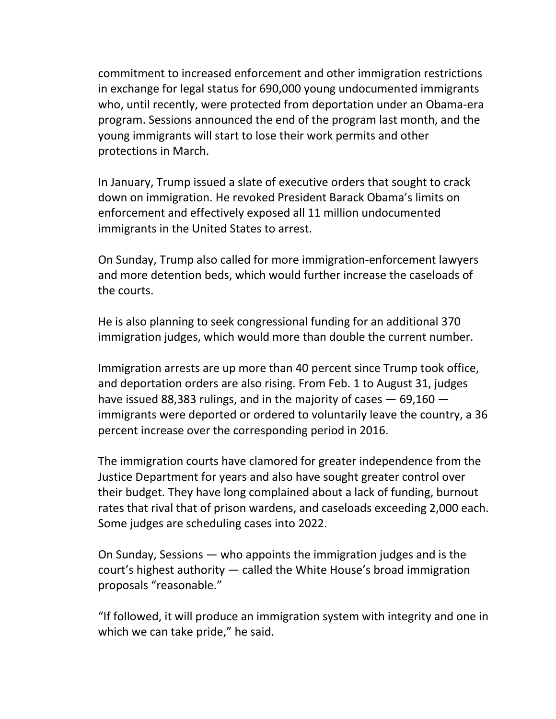commitment to increased enforcement and other immigration restrictions in exchange for legal status for 690,000 young undocumented immigrants who, until recently, were protected from deportation under an Obama-era program. Sessions announced the end of the program last month, and the young immigrants will start to lose their work permits and other protections in March.

In January, Trump issued a slate of executive orders that sought to crack down on immigration. He revoked President Barack Obama's limits on enforcement and effectively exposed all 11 million undocumented immigrants in the United States to arrest.

On Sunday, Trump also called for more immigration-enforcement lawyers and more detention beds, which would further increase the caseloads of the courts.

He is also planning to seek congressional funding for an additional 370 immigration judges, which would more than double the current number.

Immigration arrests are up more than 40 percent since Trump took office, and deportation orders are also rising. From Feb. 1 to August 31, judges have issued 88,383 rulings, and in the majority of cases  $-69,160$ immigrants were deported or ordered to voluntarily leave the country, a 36 percent increase over the corresponding period in 2016.

The immigration courts have clamored for greater independence from the Justice Department for years and also have sought greater control over their budget. They have long complained about a lack of funding, burnout rates that rival that of prison wardens, and caseloads exceeding 2,000 each. Some judges are scheduling cases into 2022.

On Sunday, Sessions — who appoints the immigration judges and is the court's highest authority — called the White House's broad immigration proposals "reasonable."

"If followed, it will produce an immigration system with integrity and one in which we can take pride," he said.